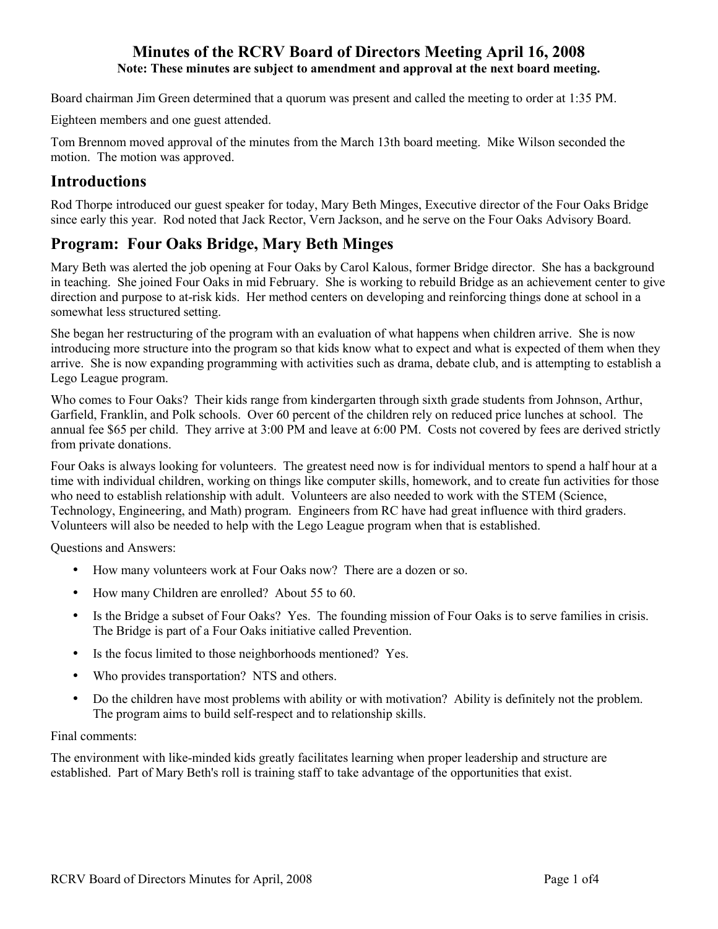# **Minutes of the RCRV Board of Directors Meeting April 16, 2008 Note: These minutes are subject to amendment and approval at the next board meeting.**

Board chairman Jim Green determined that a quorum was present and called the meeting to order at 1:35 PM.

Eighteen members and one guest attended.

Tom Brennom moved approval of the minutes from the March 13th board meeting. Mike Wilson seconded the motion. The motion was approved.

# **Introductions**

Rod Thorpe introduced our guest speaker for today, Mary Beth Minges, Executive director of the Four Oaks Bridge since early this year. Rod noted that Jack Rector, Vern Jackson, and he serve on the Four Oaks Advisory Board.

# **Program: Four Oaks Bridge, Mary Beth Minges**

Mary Beth was alerted the job opening at Four Oaks by Carol Kalous, former Bridge director. She has a background in teaching. She joined Four Oaks in mid February. She is working to rebuild Bridge as an achievement center to give direction and purpose to at-risk kids. Her method centers on developing and reinforcing things done at school in a somewhat less structured setting.

She began her restructuring of the program with an evaluation of what happens when children arrive. She is now introducing more structure into the program so that kids know what to expect and what is expected of them when they arrive. She is now expanding programming with activities such as drama, debate club, and is attempting to establish a Lego League program.

Who comes to Four Oaks? Their kids range from kindergarten through sixth grade students from Johnson, Arthur, Garfield, Franklin, and Polk schools. Over 60 percent of the children rely on reduced price lunches at school. The annual fee \$65 per child. They arrive at 3:00 PM and leave at 6:00 PM. Costs not covered by fees are derived strictly from private donations.

Four Oaks is always looking for volunteers. The greatest need now is for individual mentors to spend a half hour at a time with individual children, working on things like computer skills, homework, and to create fun activities for those who need to establish relationship with adult. Volunteers are also needed to work with the STEM (Science, Technology, Engineering, and Math) program. Engineers from RC have had great influence with third graders. Volunteers will also be needed to help with the Lego League program when that is established.

Questions and Answers:

- How many volunteers work at Four Oaks now? There are a dozen or so.
- How many Children are enrolled? About 55 to 60.
- Is the Bridge a subset of Four Oaks? Yes. The founding mission of Four Oaks is to serve families in crisis. The Bridge is part of a Four Oaks initiative called Prevention.
- Is the focus limited to those neighborhoods mentioned? Yes.
- Who provides transportation? NTS and others.
- Do the children have most problems with ability or with motivation? Ability is definitely not the problem. The program aims to build self-respect and to relationship skills.

#### Final comments:

The environment with like-minded kids greatly facilitates learning when proper leadership and structure are established. Part of Mary Beth's roll is training staff to take advantage of the opportunities that exist.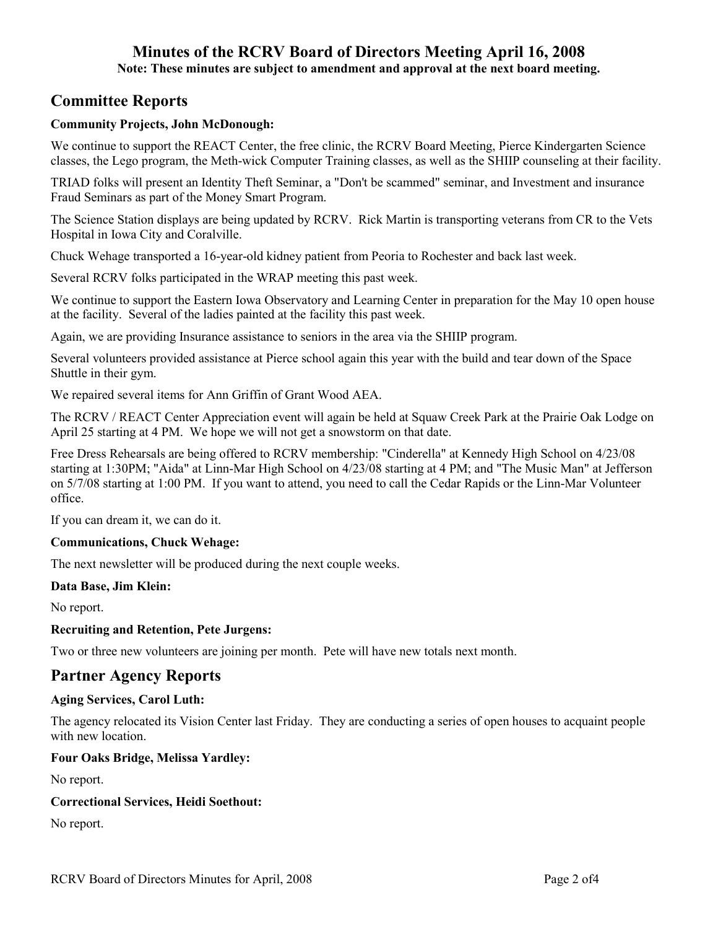# **Minutes of the RCRV Board of Directors Meeting April 16, 2008**

**Note: These minutes are subject to amendment and approval at the next board meeting.** 

# **Committee Reports**

## **Community Projects, John McDonough:**

We continue to support the REACT Center, the free clinic, the RCRV Board Meeting, Pierce Kindergarten Science classes, the Lego program, the Meth-wick Computer Training classes, as well as the SHIIP counseling at their facility.

TRIAD folks will present an Identity Theft Seminar, a "Don't be scammed" seminar, and Investment and insurance Fraud Seminars as part of the Money Smart Program.

The Science Station displays are being updated by RCRV. Rick Martin is transporting veterans from CR to the Vets Hospital in Iowa City and Coralville.

Chuck Wehage transported a 16-year-old kidney patient from Peoria to Rochester and back last week.

Several RCRV folks participated in the WRAP meeting this past week.

We continue to support the Eastern Iowa Observatory and Learning Center in preparation for the May 10 open house at the facility. Several of the ladies painted at the facility this past week.

Again, we are providing Insurance assistance to seniors in the area via the SHIIP program.

Several volunteers provided assistance at Pierce school again this year with the build and tear down of the Space Shuttle in their gym.

We repaired several items for Ann Griffin of Grant Wood AEA.

The RCRV / REACT Center Appreciation event will again be held at Squaw Creek Park at the Prairie Oak Lodge on April 25 starting at 4 PM. We hope we will not get a snowstorm on that date.

Free Dress Rehearsals are being offered to RCRV membership: "Cinderella" at Kennedy High School on 4/23/08 starting at 1:30PM; "Aida" at Linn-Mar High School on 4/23/08 starting at 4 PM; and "The Music Man" at Jefferson on 5/7/08 starting at 1:00 PM. If you want to attend, you need to call the Cedar Rapids or the Linn-Mar Volunteer office.

If you can dream it, we can do it.

## **Communications, Chuck Wehage:**

The next newsletter will be produced during the next couple weeks.

#### **Data Base, Jim Klein:**

No report.

## **Recruiting and Retention, Pete Jurgens:**

Two or three new volunteers are joining per month. Pete will have new totals next month.

# **Partner Agency Reports**

#### **Aging Services, Carol Luth:**

The agency relocated its Vision Center last Friday. They are conducting a series of open houses to acquaint people with new location.

#### **Four Oaks Bridge, Melissa Yardley:**

No report.

#### **Correctional Services, Heidi Soethout:**

No report.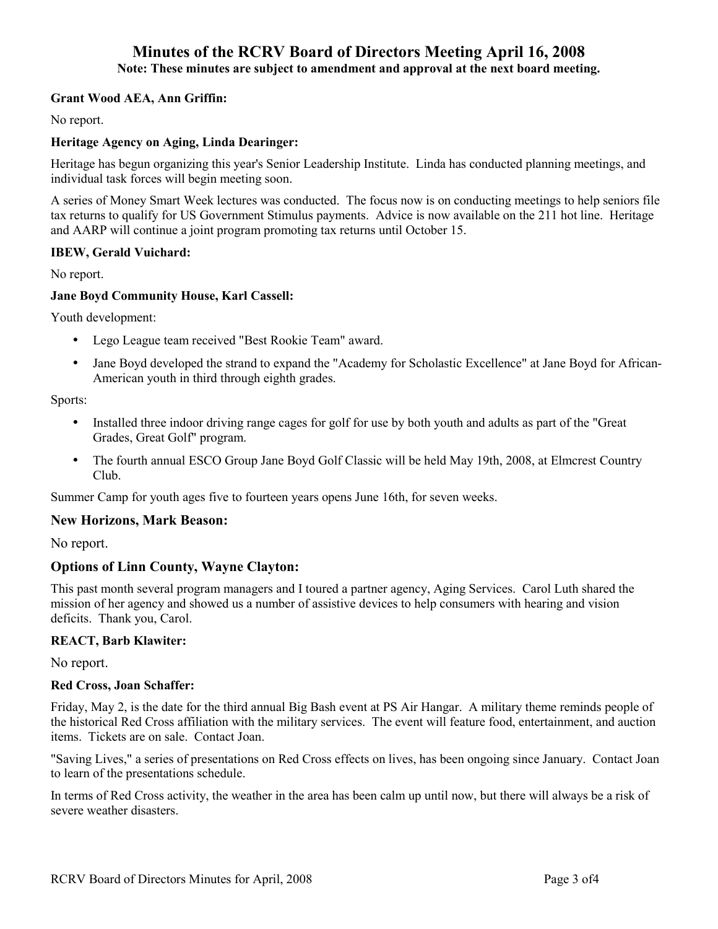# **Minutes of the RCRV Board of Directors Meeting April 16, 2008**

**Note: These minutes are subject to amendment and approval at the next board meeting.** 

#### **Grant Wood AEA, Ann Griffin:**

No report.

#### **Heritage Agency on Aging, Linda Dearinger:**

Heritage has begun organizing this year's Senior Leadership Institute. Linda has conducted planning meetings, and individual task forces will begin meeting soon.

A series of Money Smart Week lectures was conducted. The focus now is on conducting meetings to help seniors file tax returns to qualify for US Government Stimulus payments. Advice is now available on the 211 hot line. Heritage and AARP will continue a joint program promoting tax returns until October 15.

#### **IBEW, Gerald Vuichard:**

No report.

#### **Jane Boyd Community House, Karl Cassell:**

Youth development:

- Lego League team received "Best Rookie Team" award.
- Jane Boyd developed the strand to expand the "Academy for Scholastic Excellence" at Jane Boyd for African-American youth in third through eighth grades.

Sports:

- Installed three indoor driving range cages for golf for use by both youth and adults as part of the "Great Grades, Great Golf" program.
- The fourth annual ESCO Group Jane Boyd Golf Classic will be held May 19th, 2008, at Elmcrest Country Club.

Summer Camp for youth ages five to fourteen years opens June 16th, for seven weeks.

#### **New Horizons, Mark Beason:**

No report.

#### **Options of Linn County, Wayne Clayton:**

This past month several program managers and I toured a partner agency, Aging Services. Carol Luth shared the mission of her agency and showed us a number of assistive devices to help consumers with hearing and vision deficits. Thank you, Carol.

#### **REACT, Barb Klawiter:**

No report.

#### **Red Cross, Joan Schaffer:**

Friday, May 2, is the date for the third annual Big Bash event at PS Air Hangar. A military theme reminds people of the historical Red Cross affiliation with the military services. The event will feature food, entertainment, and auction items. Tickets are on sale. Contact Joan.

"Saving Lives," a series of presentations on Red Cross effects on lives, has been ongoing since January. Contact Joan to learn of the presentations schedule.

In terms of Red Cross activity, the weather in the area has been calm up until now, but there will always be a risk of severe weather disasters.